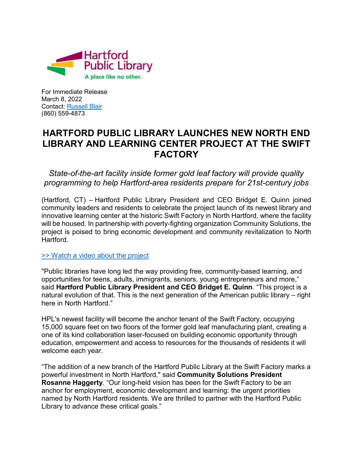

For Immediate Release March 8, 2022 Contact: [Russell Blair](mailto:rblair@hplct.org) (860) 559-4873

## **HARTFORD PUBLIC LIBRARY LAUNCHES NEW NORTH END LIBRARY AND LEARNING CENTER PROJECT AT THE SWIFT FACTORY**

*State-of-the-art facility inside former gold leaf factory will provide quality programming to help Hartford-area residents prepare for 21st-century jobs*

(Hartford, CT) – Hartford Public Library President and CEO Bridget E. Quinn joined community leaders and residents to celebrate the project launch of its newest library and innovative learning center at the historic Swift Factory in North Hartford, where the facility will be housed. In partnership with poverty-fighting organization Community Solutions, the project is poised to bring economic development and community revitalization to North **Hartford** 

[>> Watch a video about the project](https://www.youtube.com/watch?v=SDN1BSgdGY4)

"Public libraries have long led the way providing free, community-based learning, and opportunities for teens, adults, immigrants, seniors, young entrepreneurs and more," said **Hartford Public Library President and CEO Bridget E. Quinn**. "This project is a natural evolution of that. This is the next generation of the American public library – right here in North Hartford."

HPL's newest facility will become the anchor tenant of the Swift Factory, occupying 15,000 square feet on two floors of the former gold leaf manufacturing plant, creating a one of its kind collaboration laser-focused on building economic opportunity through education, empowerment and access to resources for the thousands of residents it will welcome each year.

"The addition of a new branch of the Hartford Public Library at the Swift Factory marks a powerful investment in North Hartford," said **Community Solutions President Rosanne Haggerty**. "Our long-held vision has been for the Swift Factory to be an anchor for employment, economic development and learning: the urgent priorities named by North Hartford residents. We are thrilled to partner with the Hartford Public Library to advance these critical goals."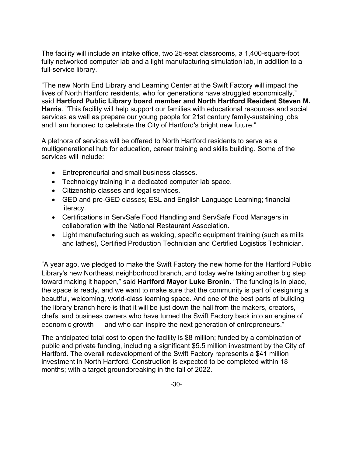The facility will include an intake office, two 25-seat classrooms, a 1,400-square-foot fully networked computer lab and a light manufacturing simulation lab, in addition to a full-service library.

"The new North End Library and Learning Center at the Swift Factory will impact the lives of North Hartford residents, who for generations have struggled economically," said **Hartford Public Library board member and North Hartford Resident Steven M. Harris**. "This facility will help support our families with educational resources and social services as well as prepare our young people for 21st century family-sustaining jobs and I am honored to celebrate the City of Hartford's bright new future."

A plethora of services will be offered to North Hartford residents to serve as a multigenerational hub for education, career training and skills building. Some of the services will include:

- Entrepreneurial and small business classes.
- Technology training in a dedicated computer lab space.
- Citizenship classes and legal services.
- GED and pre-GED classes; ESL and English Language Learning; financial literacy.
- Certifications in ServSafe Food Handling and ServSafe Food Managers in collaboration with the National Restaurant Association.
- Light manufacturing such as welding, specific equipment training (such as mills and lathes), Certified Production Technician and Certified Logistics Technician.

"A year ago, we pledged to make the Swift Factory the new home for the Hartford Public Library's new Northeast neighborhood branch, and today we're taking another big step toward making it happen," said **Hartford Mayor Luke Bronin**. "The funding is in place, the space is ready, and we want to make sure that the community is part of designing a beautiful, welcoming, world-class learning space. And one of the best parts of building the library branch here is that it will be just down the hall from the makers, creators, chefs, and business owners who have turned the Swift Factory back into an engine of economic growth — and who can inspire the next generation of entrepreneurs."

The anticipated total cost to open the facility is \$8 million; funded by a combination of public and private funding, including a significant \$5.5 million investment by the City of Hartford. The overall redevelopment of the Swift Factory represents a \$41 million investment in North Hartford. Construction is expected to be completed within 18 months; with a target groundbreaking in the fall of 2022.